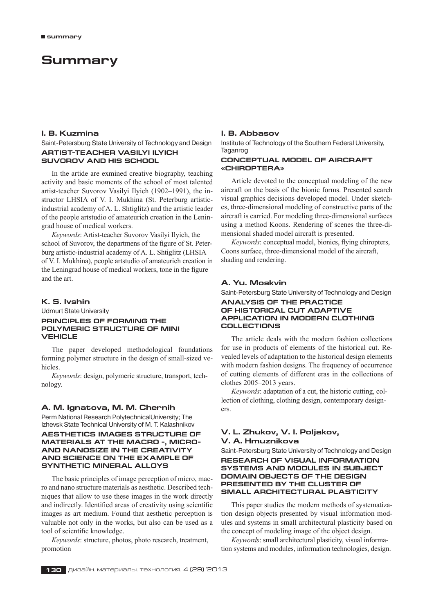# **Summary**

# **I. B. Kuzmina**

Saint-Petersburg State University of Technology and Design **Artist-teacher Vasilyi Ilyich Suvorov and his school**

In the artide are exmined creative biography, teaching activity and basic moments of the school of most talented artist-teacher Suvorov Vasilyi Ilyich (1902–1991), the instructor LHSIA of V. I. Mukhina (St. Peterburg artisticindustrial academy of A. L. Shtiglitz) and the artistic leader of the people artstudio of amateurich creation in the Leningrad house of medical workers.

*Keywords*: Artist-teacher Suvorov Vasilyi Ilyich, the school of Suvorov, the departmens of the figure of St. Peterburg artistic-industrial academy of A. L. Shtiglitz (LHSIA of V. I. Mukhina), people artstudio of amateurich creation in the Leningrad house of medical workers, tone in the figure and the art.

# **K. S. Ivshin**

Udmurt State University **Principles of forming the polymeric structure of MINI VEHICLE**

The paper developed methodological foundations forming polymer structure in the design of small-sized vehicles.

*Keywords*: design, polymeric structure, transport, technology.

#### **A. M. Ignatova, M. M. Chernih**

Perm National Research PolytechnicalUniversity; The Izhevsk State Technical University of M. T. Kalashnikov

## **AESTHETICS IMAGES STRUCTURE OF MATERIALS AT THE MACRO -, MICRO-AND NANOSIZE IN THE CREATIVITY AND SCIENCE ON THE EXAMPLE OF SYNTHETIC MINERAL ALLOYS**

The basic principles of image perception of micro, macro and nano structure materials as aesthetic. Described techniques that allow to use these images in the work directly and indirectly. Identified areas of creativity using scientific images as art medium. Found that aesthetic perception is valuable not only in the works, but also can be used as a tool of scientific knowledge.

*Keywords*: structure, photos, photo research, treatment, promotion

#### **I. B. Abbasov**

Institute of Technology of the Southern Federal University, Taganrog

#### **CONCEPTUAL MODEL OF AIRCRAFT «CHiROPTERA»**

Article devoted to the conceptual modeling of the new aircraft on the basis of the bionic forms. Presented search visual graphics decisions developed model. Under sketches, three-dimensional modeling of constructive parts of the aircraft is carried. For modeling three-dimensional surfaces using a method Koons. Rendering of scenes the three-dimensional shaded model aircraft is presented.

*Keywords*: conceptual model, bionics, flying chiropters, Coons surface, three-dimensional model of the aircraft, shading and rendering.

# **A. Yu. Moskvin**

Saint-Petersburg State University of Technology and Design

#### **ANALYSIS OF THE PRACTICE OF HISTORICAL CUT ADAPTIVE APPLICATION IN MODERN CLOTHING COLLECTIONS**

The article deals with the modern fashion collections for use in products of elements of the historical cut. Revealed levels of adaptation to the historical design elements with modern fashion designs. The frequency of occurrence of cutting elements of different eras in the collections of clothes 2005–2013 years.

*Keywords*: adaptation of a cut, the historic cutting, collection of clothing, clothing design, contemporary designers.

# **V. L. Zhukov, V. I. Poljakov, V. A. Hmuznikova**

Saint-Petersburg State University of Technology and Design **RESEARCH OF VISUAL INFORMATION SYSTEMS AND MODULES IN SUBJECT DOMAIN OBJECTS OF THE DESIGN PRESENTED BY THE CLUSTER OF SMALL ARCHITECTURAL PLASTICITY**

This paper studies the modern methods of systematization design objects presented by visual information modules and systems in small architectural plasticity based on the concept of modeling image of the object design.

*Keywords*: small architectural plasticity, visual information systems and modules, information technologies, design.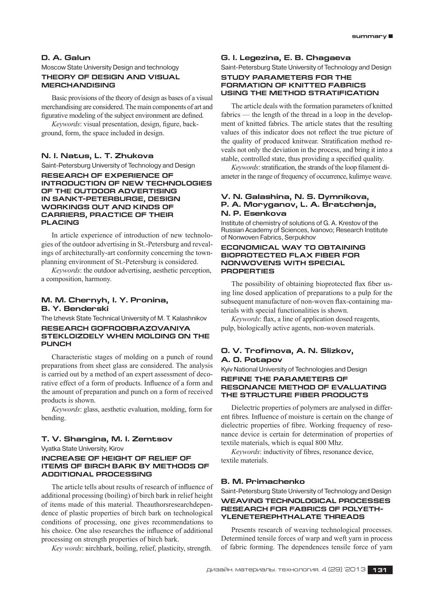# **D. A. Galun**

# Moscow State University Design and technology **THEORY OF DESIGN AND VISUAL MERCHANDISING**

Basic provisions of the theory of design as bases of a visual merchandising are considered. The main components of art and figurative modeling of the subject environment are defined.

*Keywords*: visual presentation, design, figure, background, form, the space included in design.

# **N. I. Natus, L. T. Zhukova**

Saint-Petersburg University of Technology and Design

**RESEARCH OF EXPERIENCE OF INTRODUCTION OF NEW TECHNOLOGIES OF THE OUTDOOR ADVERTISING IN SANKT-PETERBURGE, DESIGN WORKINGS OUT AND KINDS OF CARRIERS, PRACTICE OF THEIR PLACING**

In article experience of introduction of new technologies of the outdoor advertising in St.‑Petersburg and revealings of architecturally-art conformity concerning the townplanning environment of St.‑Petersburg is considered.

*Keywords*: the outdoor advertising, aesthetic perception, a composition, harmony.

# **M. M. Chernyh, I. Y. Pronina, B. Y. Benderski**

The Izhevsk State Technical University of M. T. Kalashnikov

#### **RESEARCH GOFROOBRAZOVANIYA STEKLOIZDELY WHEN MOLDING ON THE PUNCH**

Characteristic stages of molding on a punch of round preparations from sheet glass are considered. The analysis is carried out by a method of an expert assessment of decorative effect of a form of products. Influence of a form and the amount of preparation and punch on a form of received products is shown.

*Keywords*: glass, aesthetic evaluation, molding, form for bending.

## **T. V. Shangina, M. I. Zemtsov**

Vyatka State University, Kirov

## **INCREASE OF HEIGHT OF RELIEF OF ITEMS OF BIRCH BARK BY METHODS OF ADDITIONAL PROCESSING**

The article tells about results of research of influence of additional processing (boiling) of birch bark in relief height of items made of this material. Theauthorsresearchdependence of plastic properties of birch bark on technological conditions of processing, one gives recommendations to his choice. One also researches the influence of additional processing on strength properties of birch bark.

*Key words*: вirchbark, boiling, relief, plasticity, strength.

## **G. I. Legezina, E. B. Chagaeva**

Saint-Petersburg State University of Technology and Design

# **Study parameters for the formation of knitted fabrics using the method STRATIFICATION**

The article deals with the formation parameters of knitted fabrics — the length of the thread in a loop in the development of knitted fabrics. The article states that the resulting values of this indicator does not reflect the true picture of the quality of produced knitwear. Stratification method reveals not only the deviation in the process, and bring it into a stable, controlled state, thus providing a specified quality.

*Keywords*: stratification, the strands of the loop filament diameter in the range of frequency of occurrence, kulirnye weave.

## **V. N. Galashina, N. S. Dymnikova, P. A. Moryganov, L. A. Bratchenja, N. P. Esenkova**

Institute of chemistry of solutions of G. A. Krestov of the Russian Academy of Sciences, Ivanovo; Research Institute of Nonwoven Fabrics, Serpukhov

#### **ECONOMICAL WAY TO OBTAINING BIOPROTECTED FLAX FIBER FOR NONWOVENS WITH SPECIAL PROPERTIES**

The possibility of obtaining bioprotected flax fiber using line dosed application of preparations to a pulp for the subsequent manufacture of non-woven flax-containing materials with special functionalities is shown.

*Keywords*: flax, a line of application dosed reagents, pulp, biologically active agents, non-woven materials.

# **О. V. Trofimova, A. N. Slizkov, A. O. Potapov**

Kyiv National University of Technologies and Design

#### **REFINE THE PARAMETERS OF RESONANCE METHOD OF EVALUATING THE STRUCTURE FIBER PRODUCTS**

Dielectric properties of polymers are analysed in different fibres. Influence of moisture is certain on the change of dielectric properties of fibre. Working frequency of resonance device is certain for determination of properties of textile materials, which is equal 800 Mhz.

*Keywords*: inductivity of fibres, resonance device, textile materials.

## **B. M. Primachenko**

Saint-Petersburg State University of Technology and Design **Weaving technological processes research for fabrics of polyethyleneterephthalate threads**

Presents research of weaving technological processes. Determined tensile forces of warp and weft yarn in process of fabric forming. The dependences tensile force of yarn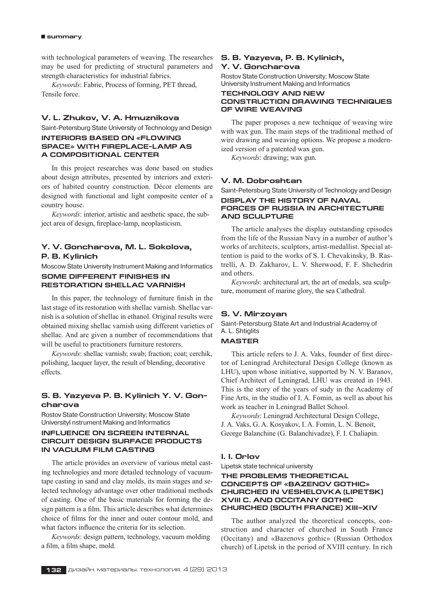#### **summary**

with technological parameters of weaving. The researches may be used for predicting of structural parameters and strength characteristics for industrial fabrics.

*Keywords*: Fabric, Process of forming, PET thread, Tensile force.

# **V. L. Zhukov, V. A. Hmuznikova**

Saint-Petersburg State University of Technology and Design

# **INTERIORS BASED ON «FLOWING SPACE» WITH FIREPLACE-LAMP AS A COMPOSITIONAL CENTER**

In this project researches was done based on studies about design attributes, presented by interiors and exteriors of habited country construction. Décor elements are designed with functional and light composite center of a country house.

*Keywords*: interior, artistic and aesthetic space, the subject area of design, fireplace-lamp, neoplasticism.

# **Y. V. Goncharova, M. L. Sokolova, P. B. Kylinich**

Moscow State University Instrument Making and Informatics **SOME DIFFERENT FINISHES IN RESTORATION SHELLAC VARNISH**

In this paper, the technology of furniture finish in the last stage of its restoration with shellac varnish. Shellac varnish is a solution of shellac in ethanol. Original results were obtained mixing shellac varnish using different varieties of shellac. And are given a number of recommendations that will be useful to practitioners furniture restorers.

*Keywords*: shellac varnish; swab; fraction; coat; cerchik, polishing, lacquer layer, the result of blending, decorative effects.

# **S. B. Yazyeva P. B. Kylinich Y. V. Goncharova**

Rostov State Construction University; Moscow State UniversityI nstrument Making and Informatics

# **INFLUENCE ON SCREEN INTERNAL CIRCUIT DESIGN SURFACE PRODUCTS IN VACUUM FILM CASTING**

The article provides an overview of various metal casting technologies and more detailed technology of vacuumtape casting in sand and clay molds, its main stages and selected technology advantage over other traditional methods of casting. One of the basic materials for forming the design pattern is a film. This article describes what determines choice of films for the inner and outer contour mold, and what factors influence the criteria for its selection.

*Keywords*: design pattern, technology, vacuum molding a film, a film shape, mold.

## **S. B. Yazyeva, P. B. Kylinich, Y. V. Goncharova**

Rostov State Construction University; Moscow State University Instrument Making and Informatics

#### **TECHNOLOGY AND NEW CONSTRUCTION DRAWING TECHNIQUES OF WIRE WEAVING**

The paper proposes a new technique of weaving wire with wax gun. The main steps of the traditional method of wire drawing and weaving options. We propose a modernized version of a patented wax gun.

*Keywords*: drawing; wax gun.

## **V. M. Dobroshtan**

Saint-Petersburg State University of Technology and Design

#### **Display the history of naval forces of Russia in architecture and sculpture**

The article analyses the display outstanding episodes from the life of the Russian Navy in a number of author's works of architects, sculptors, artist-medallist. Special attention is paid to the works of S. I. Chevakinsky, B. Rastrelli, A. D. Zakharov, L. V. Sherwood, F. F. Shchedrin and others.

*Keywords*: architectural art, the art of medals, sea sculpture, monument of marine glory, the sea Cathedral.

#### **S. V. Mirzoyan**

Saint-Petersburg State Art and Industrial Academy of A. L. Shtiglits

# **Master**

This article refers to J. A. Vaks, founder of first director of Leningrad Architectural Design College (known as LHU), upon whose initiative, supported by N. V. Baranov, Chief Architect of Leningrad, LHU was created in 1943. This is the story of the years of sudy in the Academy of Fine Arts, in the studio of I. A. Fomin, as well as about his work as teacher in Leningrad Ballet School.

*Keywords*: Leningrad Architectural Design College, J. A. Vaks, G. A. Kosyakov, I. A. Fomin, L. N. Benoit, George Balanchine (G. Balanchivadze), F. I. Chaliapin.

#### **I. I. Orlov**

Lipetsk state technical university

#### **The problems theoretical concepts of «Bazenov gothic» churched in Veshelovka (Lipetsk) XVIII c. and Occitany gothic churched (South France) XIII–XIV**

The author analyzed the theoretical concepts, construction and character of churched in South France (Occitany) and «Bazenovs gothic» (Russian Orthodox church) of Lipetsk in the period of XVIII century. In rich